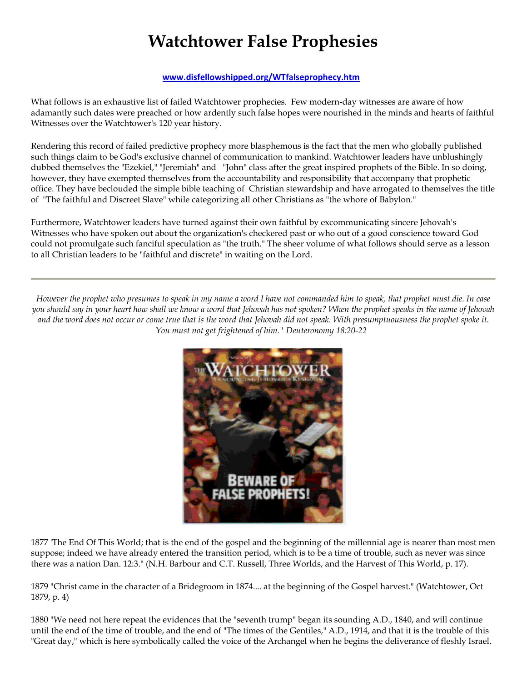## **Watchtower False Prophesies**

## **www.disfellowshipped.org/WTfalseprophecy.htm**

What follows is an exhaustive list of failed Watchtower prophecies. Few modern-day witnesses are aware of how adamantly such dates were preached or how ardently such false hopes were nourished in the minds and hearts of faithful Witnesses over the Watchtower's 120 year history.

Rendering this record of failed predictive prophecy more blasphemous is the fact that the men who globally published such things claim to be God's exclusive channel of communication to mankind. Watchtower leaders have unblushingly dubbed themselves the "Ezekiel," "Jeremiah" and "John" class after the great inspired prophets of the Bible. In so doing, however, they have exempted themselves from the accountability and responsibility that accompany that prophetic office. They have beclouded the simple bible teaching of Christian stewardship and have arrogated to themselves the title of "The faithful and Discreet Slave" while categorizing all other Christians as "the whore of Babylon."

Furthermore, Watchtower leaders have turned against their own faithful by excommunicating sincere Jehovah's Witnesses who have spoken out about the organization's checkered past or who out of a good conscience toward God could not promulgate such fanciful speculation as "the truth." The sheer volume of what follows should serve as a lesson to all Christian leaders to be "faithful and discrete" in waiting on the Lord.

*However the prophet who presumes to speak in my name a word I have not commanded him to speak, that prophet must die. In case you should say in your heart how shall we know a word that Jehovah has not spoken? When the prophet speaks in the name of Jehovah and the word does not occur or come true that is the word that Jehovah did not speak. With presumptuousness the prophet spoke it. You must not get frightened of him." Deuteronomy 18:20-22*



1877 'The End Of This World; that is the end of the gospel and the beginning of the millennial age is nearer than most men suppose; indeed we have already entered the transition period, which is to be a time of trouble, such as never was since there was a nation Dan. 12:3." (N.H. Barbour and C.T. Russell, Three Worlds, and the Harvest of This World, p. 17).

1879 "Christ came in the character of a Bridegroom in 1874.... at the beginning of the Gospel harvest." (Watchtower, Oct 1879, p. 4)

1880 "We need not here repeat the evidences that the "seventh trump" began its sounding A.D., 1840, and will continue until the end of the time of trouble, and the end of "The times of the Gentiles," A.D., 1914, and that it is the trouble of this "Great day," which is here symbolically called the voice of the Archangel when he begins the deliverance of fleshly Israel.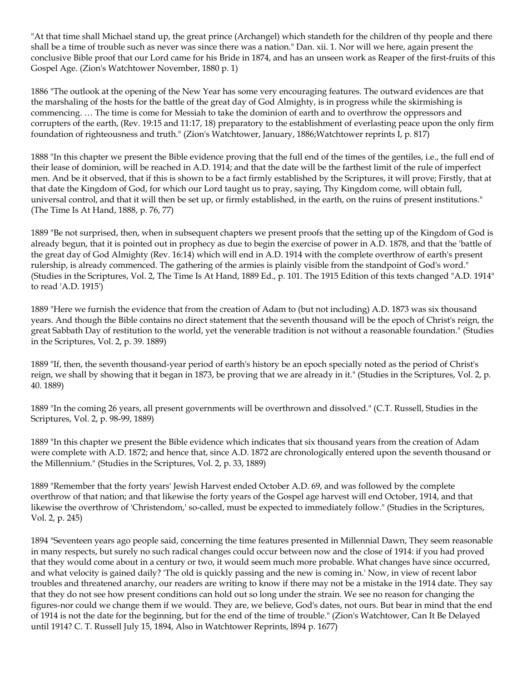"At that time shall Michael stand up, the great prince (Archangel) which standeth for the children of thy people and there shall be a time of trouble such as never was since there was a nation." Dan. xii. 1. Nor will we here, again present the conclusive Bible proof that our Lord came for his Bride in 1874, and has an unseen work as Reaper of the first-fruits of this Gospel Age. (Zion's Watchtower November, 1880 p. 1)

1886 "The outlook at the opening of the New Year has some very encouraging features. The outward evidences are that the marshaling of the hosts for the battle of the great day of God Almighty, is in progress while the skirmishing is commencing. … The time is come for Messiah to take the dominion of earth and to overthrow the oppressors and corrupters of the earth, (Rev. 19:15 and 11:17, 18) preparatory to the establishment of everlasting peace upon the only firm foundation of righteousness and truth." (Zion's Watchtower, January, 1886;Watchtower reprints I, p. 817)

1888 "In this chapter we present the Bible evidence proving that the full end of the times of the gentiles, i.e., the full end of their lease of dominion, will be reached in A.D. 1914; and that the date will be the farthest limit of the rule of imperfect men. And be it observed, that if this is shown to be a fact firmly established by the Scriptures, it will prove; Firstly, that at that date the Kingdom of God, for which our Lord taught us to pray, saying, Thy Kingdom come, will obtain full, universal control, and that it will then be set up, or firmly established, in the earth, on the ruins of present institutions." (The Time Is At Hand, 1888, p. 76, 77)

1889 "Be not surprised, then, when in subsequent chapters we present proofs that the setting up of the Kingdom of God is already begun, that it is pointed out in prophecy as due to begin the exercise of power in A.D. 1878, and that the 'battle of the great day of God Almighty (Rev. 16:14) which will end in A.D. 1914 with the complete overthrow of earth's present rulership, is already commenced. The gathering of the armies is plainly visible from the standpoint of God's word." (Studies in the Scriptures, Vol. 2, The Time Is At Hand, 1889 Ed., p. 101. The 1915 Edition of this texts changed "A.D. 1914" to read 'A.D. 1915')

1889 "Here we furnish the evidence that from the creation of Adam to (but not including) A.D. 1873 was six thousand years. And though the Bible contains no direct statement that the seventh thousand will be the epoch of Christ's reign, the great Sabbath Day of restitution to the world, yet the venerable tradition is not without a reasonable foundation." (Studies in the Scriptures, Vol. 2, p. 39. 1889)

1889 "If, then, the seventh thousand-year period of earth's history be an epoch specially noted as the period of Christ's reign, we shall by showing that it began in 1873, be proving that we are already in it." (Studies in the Scriptures, Vol. 2, p. 40. 1889)

1889 "In the coming 26 years, all present governments will be overthrown and dissolved." (C.T. Russell, Studies in the Scriptures, Vol. 2, p. 98-99, 1889)

1889 "In this chapter we present the Bible evidence which indicates that six thousand years from the creation of Adam were complete with A.D. 1872; and hence that, since A.D. 1872 are chronologically entered upon the seventh thousand or the Millennium." (Studies in the Scriptures, Vol. 2, p. 33, 1889)

1889 "Remember that the forty years' Jewish Harvest ended October A.D. 69, and was followed by the complete overthrow of that nation; and that likewise the forty years of the Gospel age harvest will end October, 1914, and that likewise the overthrow of 'Christendom,' so-called, must be expected to immediately follow." (Studies in the Scriptures, Vol. 2, p. 245)

1894 "Seventeen years ago people said, concerning the time features presented in Millennial Dawn, They seem reasonable in many respects, but surely no such radical changes could occur between now and the close of 1914: if you had proved that they would come about in a century or two, it would seem much more probable. What changes have since occurred, and what velocity is gained daily? 'The old is quickly passing and the new is coming in.' Now, in view of recent labor troubles and threatened anarchy, our readers are writing to know if there may not be a mistake in the 1914 date. They say that they do not see how present conditions can hold out so long under the strain. We see no reason for changing the figures-nor could we change them if we would. They are, we believe, God's dates, not ours. But bear in mind that the end of 1914 is not the date for the beginning, but for the end of the time of trouble." (Zion's Watchtower, Can It Be Delayed until 1914? C. T. Russell July 15, 1894, Also in Watchtower Reprints, l894 p. 1677)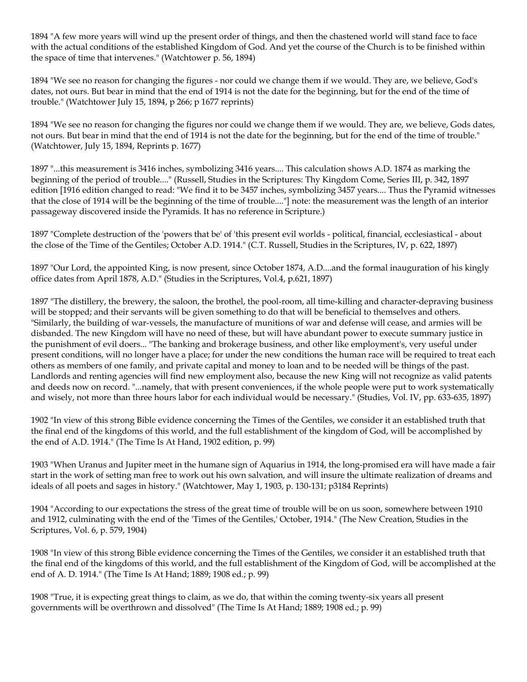1894 "A few more years will wind up the present order of things, and then the chastened world will stand face to face with the actual conditions of the established Kingdom of God. And yet the course of the Church is to be finished within the space of time that intervenes." (Watchtower p. 56, 1894)

1894 "We see no reason for changing the figures - nor could we change them if we would. They are, we believe, God's dates, not ours. But bear in mind that the end of 1914 is not the date for the beginning, but for the end of the time of trouble." (Watchtower July 15, 1894, p 266; p 1677 reprints)

1894 "We see no reason for changing the figures nor could we change them if we would. They are, we believe, Gods dates, not ours. But bear in mind that the end of 1914 is not the date for the beginning, but for the end of the time of trouble." (Watchtower, July 15, 1894, Reprints p. 1677)

1897 "...this measurement is 3416 inches, symbolizing 3416 years.... This calculation shows A.D. 1874 as marking the beginning of the period of trouble...." (Russell, Studies in the Scriptures: Thy Kingdom Come, Series III, p. 342, 1897 edition [1916 edition changed to read: "We find it to be 3457 inches, symbolizing 3457 years.... Thus the Pyramid witnesses that the close of 1914 will be the beginning of the time of trouble...."] note: the measurement was the length of an interior passageway discovered inside the Pyramids. It has no reference in Scripture.)

1897 "Complete destruction of the 'powers that be' of 'this present evil worlds - political, financial, ecclesiastical - about the close of the Time of the Gentiles; October A.D. 1914." (C.T. Russell, Studies in the Scriptures, IV, p. 622, 1897)

1897 "Our Lord, the appointed King, is now present, since October 1874, A.D....and the formal inauguration of his kingly office dates from April 1878, A.D." (Studies in the Scriptures, Vol.4, p.621, 1897)

1897 "The distillery, the brewery, the saloon, the brothel, the pool-room, all time-killing and character-depraving business will be stopped; and their servants will be given something to do that will be beneficial to themselves and others. "Similarly, the building of war-vessels, the manufacture of munitions of war and defense will cease, and armies will be disbanded. The new Kingdom will have no need of these, but will have abundant power to execute summary justice in the punishment of evil doers... "The banking and brokerage business, and other like employment's, very useful under present conditions, will no longer have a place; for under the new conditions the human race will be required to treat each others as members of one family, and private capital and money to loan and to be needed will be things of the past. Landlords and renting agencies will find new employment also, because the new King will not recognize as valid patents and deeds now on record. "...namely, that with present conveniences, if the whole people were put to work systematically and wisely, not more than three hours labor for each individual would be necessary." (Studies, Vol. IV, pp. 633-635, 1897)

1902 "In view of this strong Bible evidence concerning the Times of the Gentiles, we consider it an established truth that the final end of the kingdoms of this world, and the full establishment of the kingdom of God, will be accomplished by the end of A.D. 1914." (The Time Is At Hand, 1902 edition, p. 99)

1903 "When Uranus and Jupiter meet in the humane sign of Aquarius in 1914, the long-promised era will have made a fair start in the work of setting man free to work out his own salvation, and will insure the ultimate realization of dreams and ideals of all poets and sages in history." (Watchtower, May 1, 1903, p. 130-131; p3184 Reprints)

1904 "According to our expectations the stress of the great time of trouble will be on us soon, somewhere between 1910 and 1912, culminating with the end of the 'Times of the Gentiles,' October, 1914." (The New Creation, Studies in the Scriptures, Vol. 6, p. 579, 1904)

1908 "In view of this strong Bible evidence concerning the Times of the Gentiles, we consider it an established truth that the final end of the kingdoms of this world, and the full establishment of the Kingdom of God, will be accomplished at the end of A. D. 1914." (The Time Is At Hand; 1889; 1908 ed.; p. 99)

1908 "True, it is expecting great things to claim, as we do, that within the coming twenty-six years all present governments will be overthrown and dissolved" (The Time Is At Hand; 1889; 1908 ed.; p. 99)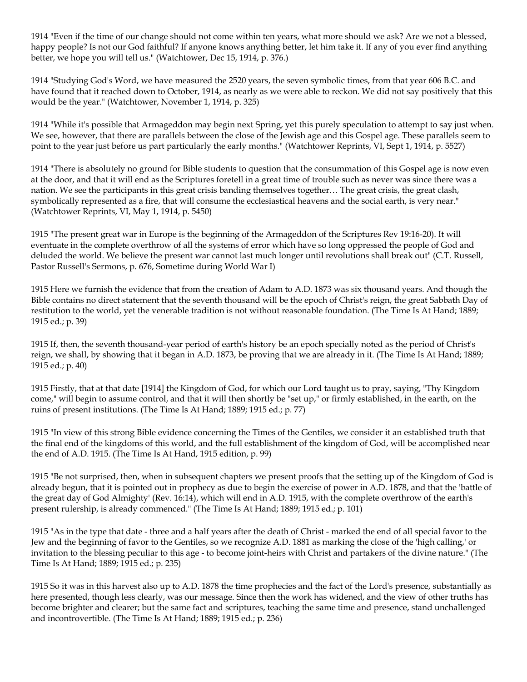1914 "Even if the time of our change should not come within ten years, what more should we ask? Are we not a blessed, happy people? Is not our God faithful? If anyone knows anything better, let him take it. If any of you ever find anything better, we hope you will tell us." (Watchtower, Dec 15, 1914, p. 376.)

1914 "Studying God's Word, we have measured the 2520 years, the seven symbolic times, from that year 606 B.C. and have found that it reached down to October, 1914, as nearly as we were able to reckon. We did not say positively that this would be the year." (Watchtower, November 1, 1914, p. 325)

1914 "While it's possible that Armageddon may begin next Spring, yet this purely speculation to attempt to say just when. We see, however, that there are parallels between the close of the Jewish age and this Gospel age. These parallels seem to point to the year just before us part particularly the early months." (Watchtower Reprints, VI, Sept 1, 1914, p. 5527)

1914 "There is absolutely no ground for Bible students to question that the consummation of this Gospel age is now even at the door, and that it will end as the Scriptures foretell in a great time of trouble such as never was since there was a nation. We see the participants in this great crisis banding themselves together… The great crisis, the great clash, symbolically represented as a fire, that will consume the ecclesiastical heavens and the social earth, is very near." (Watchtower Reprints, VI, May 1, 1914, p. 5450)

1915 "The present great war in Europe is the beginning of the Armageddon of the Scriptures Rev 19:16-20). It will eventuate in the complete overthrow of all the systems of error which have so long oppressed the people of God and deluded the world. We believe the present war cannot last much longer until revolutions shall break out" (C.T. Russell, Pastor Russell's Sermons, p. 676, Sometime during World War I)

1915 Here we furnish the evidence that from the creation of Adam to A.D. 1873 was six thousand years. And though the Bible contains no direct statement that the seventh thousand will be the epoch of Christ's reign, the great Sabbath Day of restitution to the world, yet the venerable tradition is not without reasonable foundation. (The Time Is At Hand; 1889; 1915 ed.; p. 39)

1915 If, then, the seventh thousand-year period of earth's history be an epoch specially noted as the period of Christ's reign, we shall, by showing that it began in A.D. 1873, be proving that we are already in it. (The Time Is At Hand; 1889; 1915 ed.; p. 40)

1915 Firstly, that at that date [1914] the Kingdom of God, for which our Lord taught us to pray, saying, "Thy Kingdom come," will begin to assume control, and that it will then shortly be "set up," or firmly established, in the earth, on the ruins of present institutions. (The Time Is At Hand; 1889; 1915 ed.; p. 77)

1915 "In view of this strong Bible evidence concerning the Times of the Gentiles, we consider it an established truth that the final end of the kingdoms of this world, and the full establishment of the kingdom of God, will be accomplished near the end of A.D. 1915. (The Time Is At Hand, 1915 edition, p. 99)

1915 "Be not surprised, then, when in subsequent chapters we present proofs that the setting up of the Kingdom of God is already begun, that it is pointed out in prophecy as due to begin the exercise of power in A.D. 1878, and that the 'battle of the great day of God Almighty' (Rev. 16:14), which will end in A.D. 1915, with the complete overthrow of the earth's present rulership, is already commenced." (The Time Is At Hand; 1889; 1915 ed.; p. 101)

1915 "As in the type that date - three and a half years after the death of Christ - marked the end of all special favor to the Jew and the beginning of favor to the Gentiles, so we recognize A.D. 1881 as marking the close of the 'high calling,' or invitation to the blessing peculiar to this age - to become joint-heirs with Christ and partakers of the divine nature." (The Time Is At Hand; 1889; 1915 ed.; p. 235)

1915 So it was in this harvest also up to A.D. 1878 the time prophecies and the fact of the Lord's presence, substantially as here presented, though less clearly, was our message. Since then the work has widened, and the view of other truths has become brighter and clearer; but the same fact and scriptures, teaching the same time and presence, stand unchallenged and incontrovertible. (The Time Is At Hand; 1889; 1915 ed.; p. 236)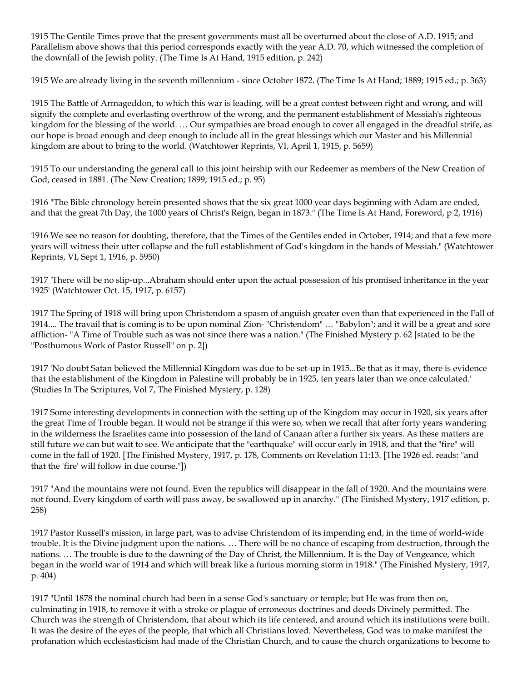1915 The Gentile Times prove that the present governments must all be overturned about the close of A.D. 1915; and Parallelism above shows that this period corresponds exactly with the year A.D. 70, which witnessed the completion of the downfall of the Jewish polity. (The Time Is At Hand, 1915 edition, p. 242)

1915 We are already living in the seventh millennium - since October 1872. (The Time Is At Hand; 1889; 1915 ed.; p. 363)

1915 The Battle of Armageddon, to which this war is leading, will be a great contest between right and wrong, and will signify the complete and everlasting overthrow of the wrong, and the permanent establishment of Messiah's righteous kingdom for the blessing of the world. … Our sympathies are broad enough to cover all engaged in the dreadful strife, as our hope is broad enough and deep enough to include all in the great blessings which our Master and his Millennial kingdom are about to bring to the world. (Watchtower Reprints, VI, April 1, 1915, p. 5659)

1915 To our understanding the general call to this joint heirship with our Redeemer as members of the New Creation of God, ceased in 1881. (The New Creation; 1899; 1915 ed.; p. 95)

1916 "The Bible chronology herein presented shows that the six great 1000 year days beginning with Adam are ended, and that the great 7th Day, the 1000 years of Christ's Reign, began in 1873." (The Time Is At Hand, Foreword, p 2, 1916)

1916 We see no reason for doubting, therefore, that the Times of the Gentiles ended in October, 1914; and that a few more years will witness their utter collapse and the full establishment of God's kingdom in the hands of Messiah." (Watchtower Reprints, VI, Sept 1, 1916, p. 5950)

1917 'There will be no slip-up...Abraham should enter upon the actual possession of his promised inheritance in the year 1925' (Watchtower Oct. 15, 1917, p. 6157)

1917 The Spring of 1918 will bring upon Christendom a spasm of anguish greater even than that experienced in the Fall of 1914.... The travail that is coming is to be upon nominal Zion- "Christendom" … "Babylon"; and it will be a great and sore affliction- "A Time of Trouble such as was not since there was a nation." (The Finished Mystery p. 62 [stated to be the "Posthumous Work of Pastor Russell" on p. 2])

1917 'No doubt Satan believed the Millennial Kingdom was due to be set-up in 1915...Be that as it may, there is evidence that the establishment of the Kingdom in Palestine will probably be in 1925, ten years later than we once calculated.' (Studies In The Scriptures, Vol 7, The Finished Mystery, p. 128)

1917 Some interesting developments in connection with the setting up of the Kingdom may occur in 1920, six years after the great Time of Trouble began. It would not be strange if this were so, when we recall that after forty years wandering in the wilderness the Israelites came into possession of the land of Canaan after a further six years. As these matters are still future we can but wait to see. We anticipate that the "earthquake" will occur early in 1918, and that the "fire" will come in the fall of 1920. [The Finished Mystery, 1917, p. 178, Comments on Revelation 11:13. [The 1926 ed. reads: "and that the 'fire' will follow in due course."])

1917 "And the mountains were not found. Even the republics will disappear in the fall of 1920. And the mountains were not found. Every kingdom of earth will pass away, be swallowed up in anarchy." (The Finished Mystery, 1917 edition, p. 258)

1917 Pastor Russell's mission, in large part, was to advise Christendom of its impending end, in the time of world-wide trouble. It is the Divine judgment upon the nations. … There will be no chance of escaping from destruction, through the nations. … The trouble is due to the dawning of the Day of Christ, the Millennium. It is the Day of Vengeance, which began in the world war of 1914 and which will break like a furious morning storm in 1918." (The Finished Mystery, 1917, p. 404)

1917 "Until 1878 the nominal church had been in a sense God's sanctuary or temple; but He was from then on, culminating in 1918, to remove it with a stroke or plague of erroneous doctrines and deeds Divinely permitted. The Church was the strength of Christendom, that about which its life centered, and around which its institutions were built. It was the desire of the eyes of the people, that which all Christians loved. Nevertheless, God was to make manifest the profanation which ecclesiasticism had made of the Christian Church, and to cause the church organizations to become to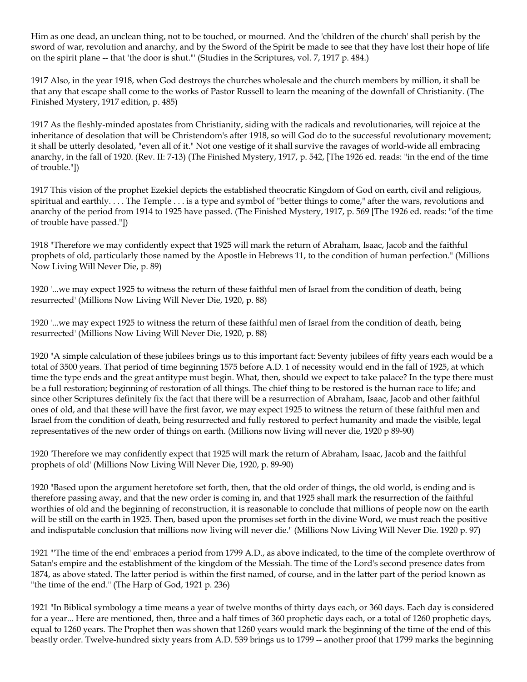Him as one dead, an unclean thing, not to be touched, or mourned. And the 'children of the church' shall perish by the sword of war, revolution and anarchy, and by the Sword of the Spirit be made to see that they have lost their hope of life on the spirit plane -- that 'the door is shut."' (Studies in the Scriptures, vol. 7, 1917 p. 484.)

1917 Also, in the year 1918, when God destroys the churches wholesale and the church members by million, it shall be that any that escape shall come to the works of Pastor Russell to learn the meaning of the downfall of Christianity. (The Finished Mystery, 1917 edition, p. 485)

1917 As the fleshly-minded apostates from Christianity, siding with the radicals and revolutionaries, will rejoice at the inheritance of desolation that will be Christendom's after 1918, so will God do to the successful revolutionary movement; it shall be utterly desolated, "even all of it." Not one vestige of it shall survive the ravages of world-wide all embracing anarchy, in the fall of 1920. (Rev. II: 7-13) (The Finished Mystery, 1917, p. 542, [The 1926 ed. reads: "in the end of the time of trouble."])

1917 This vision of the prophet Ezekiel depicts the established theocratic Kingdom of God on earth, civil and religious, spiritual and earthly. . . . The Temple . . . is a type and symbol of "better things to come," after the wars, revolutions and anarchy of the period from 1914 to 1925 have passed. (The Finished Mystery, 1917, p. 569 [The 1926 ed. reads: "of the time of trouble have passed."])

1918 "Therefore we may confidently expect that 1925 will mark the return of Abraham, Isaac, Jacob and the faithful prophets of old, particularly those named by the Apostle in Hebrews 11, to the condition of human perfection." (Millions Now Living Will Never Die, p. 89)

1920 '...we may expect 1925 to witness the return of these faithful men of Israel from the condition of death, being resurrected' (Millions Now Living Will Never Die, 1920, p. 88)

1920 '...we may expect 1925 to witness the return of these faithful men of Israel from the condition of death, being resurrected' (Millions Now Living Will Never Die, 1920, p. 88)

1920 "A simple calculation of these jubilees brings us to this important fact: Seventy jubilees of fifty years each would be a total of 3500 years. That period of time beginning 1575 before A.D. 1 of necessity would end in the fall of 1925, at which time the type ends and the great antitype must begin. What, then, should we expect to take palace? In the type there must be a full restoration; beginning of restoration of all things. The chief thing to be restored is the human race to life; and since other Scriptures definitely fix the fact that there will be a resurrection of Abraham, Isaac, Jacob and other faithful ones of old, and that these will have the first favor, we may expect 1925 to witness the return of these faithful men and Israel from the condition of death, being resurrected and fully restored to perfect humanity and made the visible, legal representatives of the new order of things on earth. (Millions now living will never die, 1920 p 89-90)

1920 'Therefore we may confidently expect that 1925 will mark the return of Abraham, Isaac, Jacob and the faithful prophets of old' (Millions Now Living Will Never Die, 1920, p. 89-90)

1920 "Based upon the argument heretofore set forth, then, that the old order of things, the old world, is ending and is therefore passing away, and that the new order is coming in, and that 1925 shall mark the resurrection of the faithful worthies of old and the beginning of reconstruction, it is reasonable to conclude that millions of people now on the earth will be still on the earth in 1925. Then, based upon the promises set forth in the divine Word, we must reach the positive and indisputable conclusion that millions now living will never die." (Millions Now Living Will Never Die. 1920 p. 97)

1921 "'The time of the end' embraces a period from 1799 A.D., as above indicated, to the time of the complete overthrow of Satan's empire and the establishment of the kingdom of the Messiah. The time of the Lord's second presence dates from 1874, as above stated. The latter period is within the first named, of course, and in the latter part of the period known as "the time of the end." (The Harp of God, 1921 p. 236)

1921 "In Biblical symbology a time means a year of twelve months of thirty days each, or 360 days. Each day is considered for a year... Here are mentioned, then, three and a half times of 360 prophetic days each, or a total of 1260 prophetic days, equal to 1260 years. The Prophet then was shown that 1260 years would mark the beginning of the time of the end of this beastly order. Twelve-hundred sixty years from A.D. 539 brings us to 1799 -- another proof that 1799 marks the beginning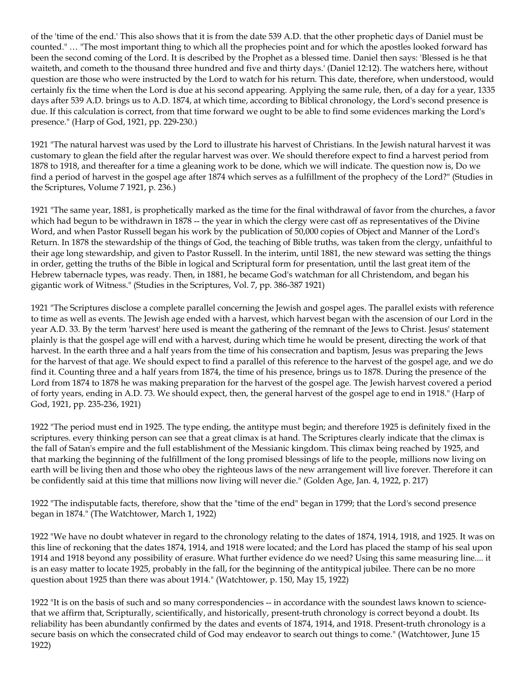of the 'time of the end.' This also shows that it is from the date 539 A.D. that the other prophetic days of Daniel must be counted." … "The most important thing to which all the prophecies point and for which the apostles looked forward has been the second coming of the Lord. It is described by the Prophet as a blessed time. Daniel then says: 'Blessed is he that waiteth, and cometh to the thousand three hundred and five and thirty days.' (Daniel 12:12). The watchers here, without question are those who were instructed by the Lord to watch for his return. This date, therefore, when understood, would certainly fix the time when the Lord is due at his second appearing. Applying the same rule, then, of a day for a year, 1335 days after 539 A.D. brings us to A.D. 1874, at which time, according to Biblical chronology, the Lord's second presence is due. If this calculation is correct, from that time forward we ought to be able to find some evidences marking the Lord's presence." (Harp of God, 1921, pp. 229-230.)

1921 "The natural harvest was used by the Lord to illustrate his harvest of Christians. In the Jewish natural harvest it was customary to glean the field after the regular harvest was over. We should therefore expect to find a harvest period from 1878 to 1918, and thereafter for a time a gleaning work to be done, which we will indicate. The question now is, Do we find a period of harvest in the gospel age after 1874 which serves as a fulfillment of the prophecy of the Lord?" (Studies in the Scriptures, Volume 7 1921, p. 236.)

1921 "The same year, 1881, is prophetically marked as the time for the final withdrawal of favor from the churches, a favor which had begun to be withdrawn in 1878 -- the year in which the clergy were cast off as representatives of the Divine Word, and when Pastor Russell began his work by the publication of 50,000 copies of Object and Manner of the Lord's Return. In 1878 the stewardship of the things of God, the teaching of Bible truths, was taken from the clergy, unfaithful to their age long stewardship, and given to Pastor Russell. In the interim, until 1881, the new steward was setting the things in order, getting the truths of the Bible in logical and Scriptural form for presentation, until the last great item of the Hebrew tabernacle types, was ready. Then, in 1881, he became God's watchman for all Christendom, and began his gigantic work of Witness." (Studies in the Scriptures, Vol. 7, pp. 386-387 1921)

1921 "The Scriptures disclose a complete parallel concerning the Jewish and gospel ages. The parallel exists with reference to time as well as events. The Jewish age ended with a harvest, which harvest began with the ascension of our Lord in the year A.D. 33. By the term 'harvest' here used is meant the gathering of the remnant of the Jews to Christ. Jesus' statement plainly is that the gospel age will end with a harvest, during which time he would be present, directing the work of that harvest. In the earth three and a half years from the time of his consecration and baptism, Jesus was preparing the Jews for the harvest of that age. We should expect to find a parallel of this reference to the harvest of the gospel age, and we do find it. Counting three and a half years from 1874, the time of his presence, brings us to 1878. During the presence of the Lord from 1874 to 1878 he was making preparation for the harvest of the gospel age. The Jewish harvest covered a period of forty years, ending in A.D. 73. We should expect, then, the general harvest of the gospel age to end in 1918." (Harp of God, 1921, pp. 235-236, 1921)

1922 "The period must end in 1925. The type ending, the antitype must begin; and therefore 1925 is definitely fixed in the scriptures. every thinking person can see that a great climax is at hand. The Scriptures clearly indicate that the climax is the fall of Satan's empire and the full establishment of the Messianic kingdom. This climax being reached by 1925, and that marking the beginning of the fulfillment of the long promised blessings of life to the people, millions now living on earth will be living then and those who obey the righteous laws of the new arrangement will live forever. Therefore it can be confidently said at this time that millions now living will never die." (Golden Age, Jan. 4, 1922, p. 217)

1922 "The indisputable facts, therefore, show that the "time of the end" began in 1799; that the Lord's second presence began in 1874." (The Watchtower, March 1, 1922)

1922 "We have no doubt whatever in regard to the chronology relating to the dates of 1874, 1914, 1918, and 1925. It was on this line of reckoning that the dates 1874, 1914, and 1918 were located; and the Lord has placed the stamp of his seal upon 1914 and 1918 beyond any possibility of erasure. What further evidence do we need? Using this same measuring line.... it is an easy matter to locate 1925, probably in the fall, for the beginning of the antitypical jubilee. There can be no more question about 1925 than there was about 1914." (Watchtower, p. 150, May 15, 1922)

1922 "It is on the basis of such and so many correspondencies -- in accordance with the soundest laws known to sciencethat we affirm that, Scripturally, scientifically, and historically, present-truth chronology is correct beyond a doubt. Its reliability has been abundantly confirmed by the dates and events of 1874, 1914, and 1918. Present-truth chronology is a secure basis on which the consecrated child of God may endeavor to search out things to come." (Watchtower, June 15 1922)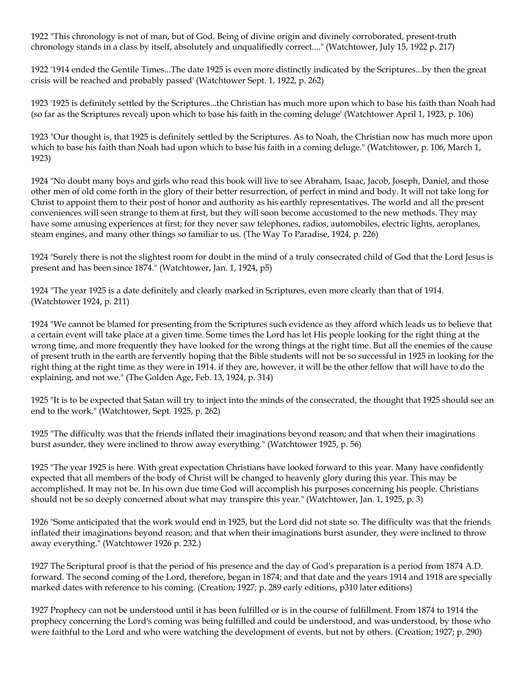1922 "This chronology is not of man, but of God. Being of divine origin and divinely corroborated, present-truth chronology stands in a class by itself, absolutely and unqualifiedly correct...." (Watchtower, July 15, 1922 p. 217)

1922 '1914 ended the Gentile Times...The date 1925 is even more distinctly indicated by the Scriptures...by then the great crisis will be reached and probably passed' (Watchtower Sept. 1, 1922, p. 262)

1923 '1925 is definitely settled by the Scriptures...the Christian has much more upon which to base his faith than Noah had (so far as the Scriptures reveal) upon which to base his faith in the coming deluge' (Watchtower April 1, 1923, p. 106)

1923 "Our thought is, that 1925 is definitely settled by the Scriptures. As to Noah, the Christian now has much more upon which to base his faith than Noah had upon which to base his faith in a coming deluge." (Watchtower, p. 106, March 1, 1923)

1924 "No doubt many boys and girls who read this book will live to see Abraham, Isaac, Jacob, Joseph, Daniel, and those other men of old come forth in the glory of their better resurrection, of perfect in mind and body. It will not take long for Christ to appoint them to their post of honor and authority as his earthly representatives. The world and all the present conveniences will seen strange to them at first, but they will soon become accustomed to the new methods. They may have some amusing experiences at first; for they never saw telephones, radios, automobiles, electric lights, aeroplanes, steam engines, and many other things so familiar to us. (The Way To Paradise, 1924, p. 226)

1924 "Surely there is not the slightest room for doubt in the mind of a truly consecrated child of God that the Lord Jesus is present and has been since 1874." (Watchtower, Jan. 1, 1924, p5)

1924 "The year 1925 is a date definitely and clearly marked in Scriptures, even more clearly than that of 1914. (Watchtower 1924, p. 211)

1924 "We cannot be blamed for presenting from the Scriptures such evidence as they afford which leads us to believe that a certain event will take place at a given time. Some times the Lord has let His people looking for the right thing at the wrong time, and more frequently they have looked for the wrong things at the right time. But all the enemies of the cause of present truth in the earth are fervently hoping that the Bible students will not be so successful in 1925 in looking for the right thing at the right time as they were in 1914. if they are, however, it will be the other fellow that will have to do the explaining, and not we." (The Golden Age, Feb. 13, 1924, p. 314)

1925 "It is to be expected that Satan will try to inject into the minds of the consecrated, the thought that 1925 should see an end to the work." (Watchtower, Sept. 1925, p. 262)

1925 "The difficulty was that the friends inflated their imaginations beyond reason; and that when their imaginations burst asunder, they were inclined to throw away everything." (Watchtower 1925, p. 56)

1925 "The year 1925 is here. With great expectation Christians have looked forward to this year. Many have confidently expected that all members of the body of Christ will be changed to heavenly glory during this year. This may be accomplished. It may not be. In his own due time God will accomplish his purposes concerning his people. Christians should not be so deeply concerned about what may transpire this year." (Watchtower, Jan. 1, 1925, p. 3)

1926 "Some anticipated that the work would end in 1925, but the Lord did not state so. The difficulty was that the friends inflated their imaginations beyond reason; and that when their imaginations burst asunder, they were inclined to throw away everything." (Watchtower 1926 p. 232.)

1927 The Scriptural proof is that the period of his presence and the day of God's preparation is a period from 1874 A.D. forward. The second coming of the Lord, therefore, began in 1874; and that date and the years 1914 and 1918 are specially marked dates with reference to his coming. (Creation; 1927; p. 289 early editions, p310 later editions)

1927 Prophecy can not be understood until it has been fulfilled or is in the course of fulfillment. From 1874 to 1914 the prophecy concerning the Lord's coming was being fulfilled and could be understood, and was understood, by those who were faithful to the Lord and who were watching the development of events, but not by others. (Creation; 1927; p. 290)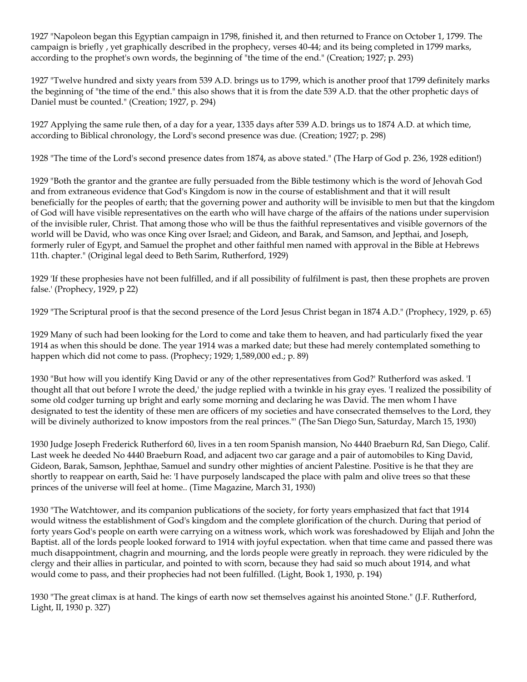1927 "Napoleon began this Egyptian campaign in 1798, finished it, and then returned to France on October 1, 1799. The campaign is briefly , yet graphically described in the prophecy, verses 40-44; and its being completed in 1799 marks, according to the prophet's own words, the beginning of "the time of the end." (Creation; 1927; p. 293)

1927 "Twelve hundred and sixty years from 539 A.D. brings us to 1799, which is another proof that 1799 definitely marks the beginning of "the time of the end." this also shows that it is from the date 539 A.D. that the other prophetic days of Daniel must be counted." (Creation; 1927, p. 294)

1927 Applying the same rule then, of a day for a year, 1335 days after 539 A.D. brings us to 1874 A.D. at which time, according to Biblical chronology, the Lord's second presence was due. (Creation; 1927; p. 298)

1928 "The time of the Lord's second presence dates from 1874, as above stated." (The Harp of God p. 236, 1928 edition!)

1929 "Both the grantor and the grantee are fully persuaded from the Bible testimony which is the word of Jehovah God and from extraneous evidence that God's Kingdom is now in the course of establishment and that it will result beneficially for the peoples of earth; that the governing power and authority will be invisible to men but that the kingdom of God will have visible representatives on the earth who will have charge of the affairs of the nations under supervision of the invisible ruler, Christ. That among those who will be thus the faithful representatives and visible governors of the world will be David, who was once King over Israel; and Gideon, and Barak, and Samson, and Jepthai, and Joseph, formerly ruler of Egypt, and Samuel the prophet and other faithful men named with approval in the Bible at Hebrews 11th. chapter." (Original legal deed to Beth Sarim, Rutherford, 1929)

1929 'If these prophesies have not been fulfilled, and if all possibility of fulfilment is past, then these prophets are proven false.' (Prophecy, 1929, p 22)

1929 "The Scriptural proof is that the second presence of the Lord Jesus Christ began in 1874 A.D." (Prophecy, 1929, p. 65)

1929 Many of such had been looking for the Lord to come and take them to heaven, and had particularly fixed the year 1914 as when this should be done. The year 1914 was a marked date; but these had merely contemplated something to happen which did not come to pass. (Prophecy; 1929; 1,589,000 ed.; p. 89)

1930 "But how will you identify King David or any of the other representatives from God?' Rutherford was asked. 'I thought all that out before I wrote the deed,' the judge replied with a twinkle in his gray eyes. 'I realized the possibility of some old codger turning up bright and early some morning and declaring he was David. The men whom I have designated to test the identity of these men are officers of my societies and have consecrated themselves to the Lord, they will be divinely authorized to know impostors from the real princes."' (The San Diego Sun, Saturday, March 15, 1930)

1930 Judge Joseph Frederick Rutherford 60, lives in a ten room Spanish mansion, No 4440 Braeburn Rd, San Diego, Calif. Last week he deeded No 4440 Braeburn Road, and adjacent two car garage and a pair of automobiles to King David, Gideon, Barak, Samson, Jephthae, Samuel and sundry other mighties of ancient Palestine. Positive is he that they are shortly to reappear on earth, Said he: 'I have purposely landscaped the place with palm and olive trees so that these princes of the universe will feel at home.. (Time Magazine, March 31, 1930)

1930 "The Watchtower, and its companion publications of the society, for forty years emphasized that fact that 1914 would witness the establishment of God's kingdom and the complete glorification of the church. During that period of forty years God's people on earth were carrying on a witness work, which work was foreshadowed by Elijah and John the Baptist. all of the lords people looked forward to 1914 with joyful expectation. when that time came and passed there was much disappointment, chagrin and mourning, and the lords people were greatly in reproach. they were ridiculed by the clergy and their allies in particular, and pointed to with scorn, because they had said so much about 1914, and what would come to pass, and their prophecies had not been fulfilled. (Light, Book 1, 1930, p. 194)

1930 "The great climax is at hand. The kings of earth now set themselves against his anointed Stone." (J.F. Rutherford, Light, II, 1930 p. 327)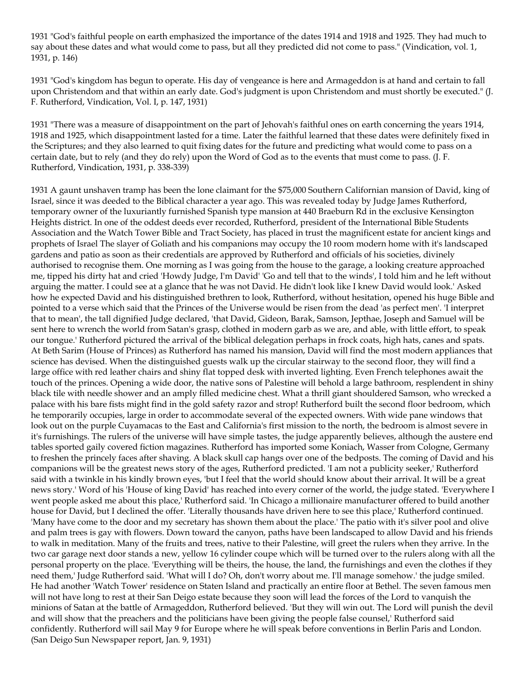1931 "God's faithful people on earth emphasized the importance of the dates 1914 and 1918 and 1925. They had much to say about these dates and what would come to pass, but all they predicted did not come to pass." (Vindication, vol. 1, 1931, p. 146)

1931 "God's kingdom has begun to operate. His day of vengeance is here and Armageddon is at hand and certain to fall upon Christendom and that within an early date. God's judgment is upon Christendom and must shortly be executed." (J. F. Rutherford, Vindication, Vol. I, p. 147, 1931)

1931 "There was a measure of disappointment on the part of Jehovah's faithful ones on earth concerning the years 1914, 1918 and 1925, which disappointment lasted for a time. Later the faithful learned that these dates were definitely fixed in the Scriptures; and they also learned to quit fixing dates for the future and predicting what would come to pass on a certain date, but to rely (and they do rely) upon the Word of God as to the events that must come to pass. (J. F. Rutherford, Vindication, 1931, p. 338-339)

1931 A gaunt unshaven tramp has been the lone claimant for the \$75,000 Southern Californian mansion of David, king of Israel, since it was deeded to the Biblical character a year ago. This was revealed today by Judge James Rutherford, temporary owner of the luxuriantly furnished Spanish type mansion at 440 Braeburn Rd in the exclusive Kensington Heights district. In one of the oddest deeds ever recorded, Rutherford, president of the International Bible Students Association and the Watch Tower Bible and Tract Society, has placed in trust the magnificent estate for ancient kings and prophets of Israel The slayer of Goliath and his companions may occupy the 10 room modern home with it's landscaped gardens and patio as soon as their credentials are approved by Rutherford and officials of his societies, divinely authorised to recognise them. One morning as I was going from the house to the garage, a looking creature approached me, tipped his dirty hat and cried 'Howdy Judge, I'm David' 'Go and tell that to the winds', I told him and he left without arguing the matter. I could see at a glance that he was not David. He didn't look like I knew David would look.' Asked how he expected David and his distinguished brethren to look, Rutherford, without hesitation, opened his huge Bible and pointed to a verse which said that the Princes of the Universe would be risen from the dead 'as perfect men'. 'I interpret that to mean', the tall dignified Judge declared, 'that David, Gideon, Barak, Samson, Jepthae, Joseph and Samuel will be sent here to wrench the world from Satan's grasp, clothed in modern garb as we are, and able, with little effort, to speak our tongue.' Rutherford pictured the arrival of the biblical delegation perhaps in frock coats, high hats, canes and spats. At Beth Sarim (House of Princes) as Rutherford has named his mansion, David will find the most modern appliances that science has devised. When the distinguished guests walk up the circular stairway to the second floor, they will find a large office with red leather chairs and shiny flat topped desk with inverted lighting. Even French telephones await the touch of the princes. Opening a wide door, the native sons of Palestine will behold a large bathroom, resplendent in shiny black tile with needle shower and an amply filled medicine chest. What a thrill giant shouldered Samson, who wrecked a palace with his bare fists might find in the gold safety razor and strop! Rutherford built the second floor bedroom, which he temporarily occupies, large in order to accommodate several of the expected owners. With wide pane windows that look out on the purple Cuyamacas to the East and California's first mission to the north, the bedroom is almost severe in it's furnishings. The rulers of the universe will have simple tastes, the judge apparently believes, although the austere end tables sported gaily covered fiction magazines. Rutherford has imported some Koniach, Wasser from Cologne, Germany to freshen the princely faces after shaving. A black skull cap hangs over one of the bedposts. The coming of David and his companions will be the greatest news story of the ages, Rutherford predicted. 'I am not a publicity seeker,' Rutherford said with a twinkle in his kindly brown eyes, 'but I feel that the world should know about their arrival. It will be a great news story.' Word of his 'House of king David' has reached into every corner of the world, the judge stated. 'Everywhere I went people asked me about this place,' Rutherford said. 'In Chicago a millionaire manufacturer offered to build another house for David, but I declined the offer. 'Literally thousands have driven here to see this place,' Rutherford continued. 'Many have come to the door and my secretary has shown them about the place.' The patio with it's silver pool and olive and palm trees is gay with flowers. Down toward the canyon, paths have been landscaped to allow David and his friends to walk in meditation. Many of the fruits and trees, native to their Palestine, will greet the rulers when they arrive. In the two car garage next door stands a new, yellow 16 cylinder coupe which will be turned over to the rulers along with all the personal property on the place. 'Everything will be theirs, the house, the land, the furnishings and even the clothes if they need them,' Judge Rutherford said. 'What will I do? Oh, don't worry about me. I'll manage somehow.' the judge smiled. He had another 'Watch Tower' residence on Staten Island and practically an entire floor at Bethel. The seven famous men will not have long to rest at their San Deigo estate because they soon will lead the forces of the Lord to vanquish the minions of Satan at the battle of Armageddon, Rutherford believed. 'But they will win out. The Lord will punish the devil and will show that the preachers and the politicians have been giving the people false counsel,' Rutherford said confidently. Rutherford will sail May 9 for Europe where he will speak before conventions in Berlin Paris and London. (San Deigo Sun Newspaper report, Jan. 9, 1931)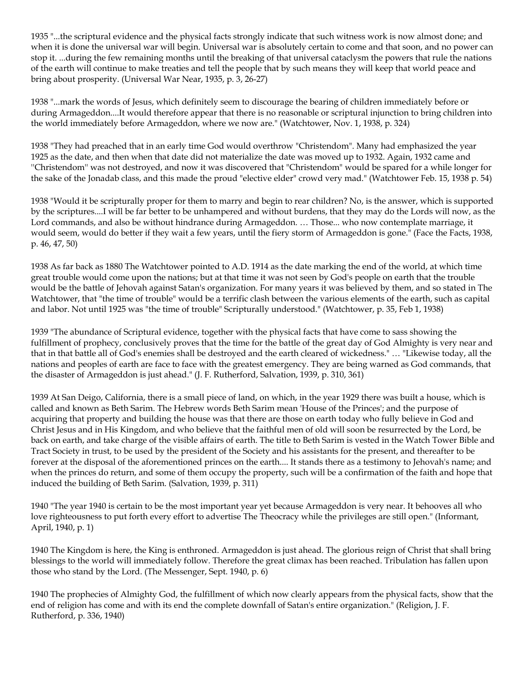1935 "...the scriptural evidence and the physical facts strongly indicate that such witness work is now almost done; and when it is done the universal war will begin. Universal war is absolutely certain to come and that soon, and no power can stop it. ...during the few remaining months until the breaking of that universal cataclysm the powers that rule the nations of the earth will continue to make treaties and tell the people that by such means they will keep that world peace and bring about prosperity. (Universal War Near, 1935, p. 3, 26-27)

1938 "...mark the words of Jesus, which definitely seem to discourage the bearing of children immediately before or during Armageddon....It would therefore appear that there is no reasonable or scriptural injunction to bring children into the world immediately before Armageddon, where we now are." (Watchtower, Nov. 1, 1938, p. 324)

1938 "They had preached that in an early time God would overthrow "Christendom". Many had emphasized the year 1925 as the date, and then when that date did not materialize the date was moved up to 1932. Again, 1932 came and ''Christendom'' was not destroyed, and now it was discovered that "Christendom" would be spared for a while longer for the sake of the Jonadab class, and this made the proud "elective elder" crowd very mad." (Watchtower Feb. 15, 1938 p. 54)

1938 "Would it be scripturally proper for them to marry and begin to rear children? No, is the answer, which is supported by the scriptures....I will be far better to be unhampered and without burdens, that they may do the Lords will now, as the Lord commands, and also be without hindrance during Armageddon. … Those... who now contemplate marriage, it would seem, would do better if they wait a few years, until the fiery storm of Armageddon is gone." (Face the Facts, 1938, p. 46, 47, 50)

1938 As far back as 1880 The Watchtower pointed to A.D. 1914 as the date marking the end of the world, at which time great trouble would come upon the nations; but at that time it was not seen by God's people on earth that the trouble would be the battle of Jehovah against Satan's organization. For many years it was believed by them, and so stated in The Watchtower, that "the time of trouble" would be a terrific clash between the various elements of the earth, such as capital and labor. Not until 1925 was "the time of trouble" Scripturally understood." (Watchtower, p. 35, Feb 1, 1938)

1939 "The abundance of Scriptural evidence, together with the physical facts that have come to sass showing the fulfillment of prophecy, conclusively proves that the time for the battle of the great day of God Almighty is very near and that in that battle all of God's enemies shall be destroyed and the earth cleared of wickedness." … "Likewise today, all the nations and peoples of earth are face to face with the greatest emergency. They are being warned as God commands, that the disaster of Armageddon is just ahead." (J. F. Rutherford, Salvation, 1939, p. 310, 361)

1939 At San Deigo, California, there is a small piece of land, on which, in the year 1929 there was built a house, which is called and known as Beth Sarim. The Hebrew words Beth Sarim mean 'House of the Princes'; and the purpose of acquiring that property and building the house was that there are those on earth today who fully believe in God and Christ Jesus and in His Kingdom, and who believe that the faithful men of old will soon be resurrected by the Lord, be back on earth, and take charge of the visible affairs of earth. The title to Beth Sarim is vested in the Watch Tower Bible and Tract Society in trust, to be used by the president of the Society and his assistants for the present, and thereafter to be forever at the disposal of the aforementioned princes on the earth.... It stands there as a testimony to Jehovah's name; and when the princes do return, and some of them occupy the property, such will be a confirmation of the faith and hope that induced the building of Beth Sarim. (Salvation, 1939, p. 311)

1940 "The year 1940 is certain to be the most important year yet because Armageddon is very near. It behooves all who love righteousness to put forth every effort to advertise The Theocracy while the privileges are still open." (Informant, April, 1940, p. 1)

1940 The Kingdom is here, the King is enthroned. Armageddon is just ahead. The glorious reign of Christ that shall bring blessings to the world will immediately follow. Therefore the great climax has been reached. Tribulation has fallen upon those who stand by the Lord. (The Messenger, Sept. 1940, p. 6)

1940 The prophecies of Almighty God, the fulfillment of which now clearly appears from the physical facts, show that the end of religion has come and with its end the complete downfall of Satan's entire organization." (Religion, J. F. Rutherford, p. 336, 1940)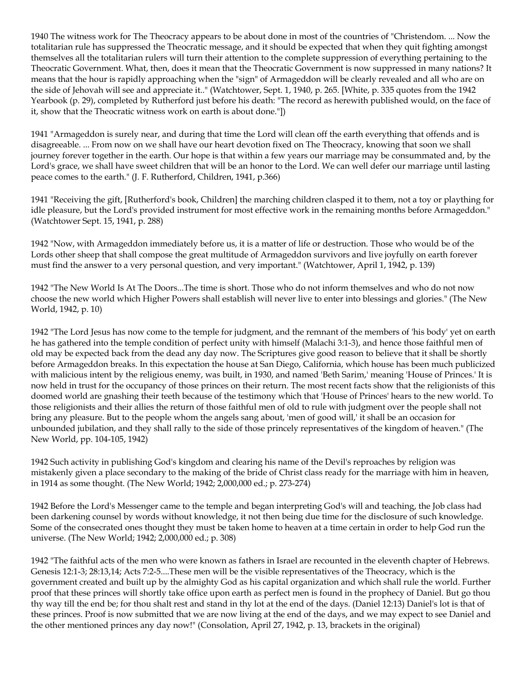1940 The witness work for The Theocracy appears to be about done in most of the countries of "Christendom. ... Now the totalitarian rule has suppressed the Theocratic message, and it should be expected that when they quit fighting amongst themselves all the totalitarian rulers will turn their attention to the complete suppression of everything pertaining to the Theocratic Government. What, then, does it mean that the Theocratic Government is now suppressed in many nations? It means that the hour is rapidly approaching when the "sign" of Armageddon will be clearly revealed and all who are on the side of Jehovah will see and appreciate it.." (Watchtower, Sept. 1, 1940, p. 265. [White, p. 335 quotes from the 1942 Yearbook (p. 29), completed by Rutherford just before his death: "The record as herewith published would, on the face of it, show that the Theocratic witness work on earth is about done."])

1941 "Armageddon is surely near, and during that time the Lord will clean off the earth everything that offends and is disagreeable. ... From now on we shall have our heart devotion fixed on The Theocracy, knowing that soon we shall journey forever together in the earth. Our hope is that within a few years our marriage may be consummated and, by the Lord's grace, we shall have sweet children that will be an honor to the Lord. We can well defer our marriage until lasting peace comes to the earth." (J. F. Rutherford, Children, 1941, p.366)

1941 "Receiving the gift, [Rutherford's book, Children] the marching children clasped it to them, not a toy or plaything for idle pleasure, but the Lord's provided instrument for most effective work in the remaining months before Armageddon." (Watchtower Sept. 15, 1941, p. 288)

1942 "Now, with Armageddon immediately before us, it is a matter of life or destruction. Those who would be of the Lords other sheep that shall compose the great multitude of Armageddon survivors and live joyfully on earth forever must find the answer to a very personal question, and very important." (Watchtower, April 1, 1942, p. 139)

1942 "The New World Is At The Doors...The time is short. Those who do not inform themselves and who do not now choose the new world which Higher Powers shall establish will never live to enter into blessings and glories." (The New World, 1942, p. 10)

1942 "The Lord Jesus has now come to the temple for judgment, and the remnant of the members of 'his body' yet on earth he has gathered into the temple condition of perfect unity with himself (Malachi 3:1-3), and hence those faithful men of old may be expected back from the dead any day now. The Scriptures give good reason to believe that it shall be shortly before Armageddon breaks. In this expectation the house at San Diego, California, which house has been much publicized with malicious intent by the religious enemy, was built, in 1930, and named 'Beth Sarim,' meaning 'House of Princes.' It is now held in trust for the occupancy of those princes on their return. The most recent facts show that the religionists of this doomed world are gnashing their teeth because of the testimony which that 'House of Princes' hears to the new world. To those religionists and their allies the return of those faithful men of old to rule with judgment over the people shall not bring any pleasure. But to the people whom the angels sang about, 'men of good will,' it shall be an occasion for unbounded jubilation, and they shall rally to the side of those princely representatives of the kingdom of heaven." (The New World, pp. 104-105, 1942)

1942 Such activity in publishing God's kingdom and clearing his name of the Devil's reproaches by religion was mistakenly given a place secondary to the making of the bride of Christ class ready for the marriage with him in heaven, in 1914 as some thought. (The New World; 1942; 2,000,000 ed.; p. 273-274)

1942 Before the Lord's Messenger came to the temple and began interpreting God's will and teaching, the Job class had been darkening counsel by words without knowledge, it not then being due time for the disclosure of such knowledge. Some of the consecrated ones thought they must be taken home to heaven at a time certain in order to help God run the universe. (The New World; 1942; 2,000,000 ed.; p. 308)

1942 "The faithful acts of the men who were known as fathers in Israel are recounted in the eleventh chapter of Hebrews. Genesis 12:1-3; 28:13,14; Acts 7:2-5....These men will be the visible representatives of the Theocracy, which is the government created and built up by the almighty God as his capital organization and which shall rule the world. Further proof that these princes will shortly take office upon earth as perfect men is found in the prophecy of Daniel. But go thou thy way till the end be; for thou shalt rest and stand in thy lot at the end of the days. (Daniel 12:13) Daniel's lot is that of these princes. Proof is now submitted that we are now living at the end of the days, and we may expect to see Daniel and the other mentioned princes any day now!" (Consolation, April 27, 1942, p. 13, brackets in the original)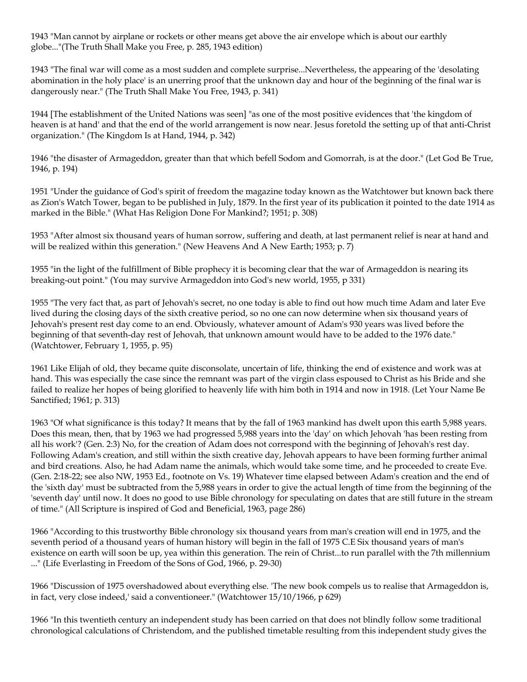1943 "Man cannot by airplane or rockets or other means get above the air envelope which is about our earthly globe..."(The Truth Shall Make you Free, p. 285, 1943 edition)

1943 "The final war will come as a most sudden and complete surprise...Nevertheless, the appearing of the 'desolating abomination in the holy place' is an unerring proof that the unknown day and hour of the beginning of the final war is dangerously near." (The Truth Shall Make You Free, 1943, p. 341)

1944 [The establishment of the United Nations was seen] "as one of the most positive evidences that 'the kingdom of heaven is at hand' and that the end of the world arrangement is now near. Jesus foretold the setting up of that anti-Christ organization." (The Kingdom Is at Hand, 1944, p. 342)

1946 "the disaster of Armageddon, greater than that which befell Sodom and Gomorrah, is at the door." (Let God Be True, 1946, p. 194)

1951 "Under the guidance of God's spirit of freedom the magazine today known as the Watchtower but known back there as Zion's Watch Tower, began to be published in July, 1879. In the first year of its publication it pointed to the date 1914 as marked in the Bible." (What Has Religion Done For Mankind?; 1951; p. 308)

1953 "After almost six thousand years of human sorrow, suffering and death, at last permanent relief is near at hand and will be realized within this generation." (New Heavens And A New Earth; 1953; p. 7)

1955 "in the light of the fulfillment of Bible prophecy it is becoming clear that the war of Armageddon is nearing its breaking-out point." (You may survive Armageddon into God's new world, 1955, p 331)

1955 "The very fact that, as part of Jehovah's secret, no one today is able to find out how much time Adam and later Eve lived during the closing days of the sixth creative period, so no one can now determine when six thousand years of Jehovah's present rest day come to an end. Obviously, whatever amount of Adam's 930 years was lived before the beginning of that seventh-day rest of Jehovah, that unknown amount would have to be added to the 1976 date." (Watchtower, February 1, 1955, p. 95)

1961 Like Elijah of old, they became quite disconsolate, uncertain of life, thinking the end of existence and work was at hand. This was especially the case since the remnant was part of the virgin class espoused to Christ as his Bride and she failed to realize her hopes of being glorified to heavenly life with him both in 1914 and now in 1918. (Let Your Name Be Sanctified; 1961; p. 313)

1963 "Of what significance is this today? It means that by the fall of 1963 mankind has dwelt upon this earth 5,988 years. Does this mean, then, that by 1963 we had progressed 5,988 years into the 'day' on which Jehovah 'has been resting from all his work'? (Gen. 2:3) No, for the creation of Adam does not correspond with the beginning of Jehovah's rest day. Following Adam's creation, and still within the sixth creative day, Jehovah appears to have been forming further animal and bird creations. Also, he had Adam name the animals, which would take some time, and he proceeded to create Eve. (Gen. 2:18-22; see also NW, 1953 Ed., footnote on Vs. 19) Whatever time elapsed between Adam's creation and the end of the 'sixth day' must be subtracted from the 5,988 years in order to give the actual length of time from the beginning of the 'seventh day' until now. It does no good to use Bible chronology for speculating on dates that are still future in the stream of time." (All Scripture is inspired of God and Beneficial, 1963, page 286)

1966 "According to this trustworthy Bible chronology six thousand years from man's creation will end in 1975, and the seventh period of a thousand years of human history will begin in the fall of 1975 C.E Six thousand years of man's existence on earth will soon be up, yea within this generation. The rein of Christ...to run parallel with the 7th millennium ..." (Life Everlasting in Freedom of the Sons of God, 1966, p. 29-30)

1966 "Discussion of 1975 overshadowed about everything else. 'The new book compels us to realise that Armageddon is, in fact, very close indeed,' said a conventioneer." (Watchtower 15/10/1966, p 629)

1966 "In this twentieth century an independent study has been carried on that does not blindly follow some traditional chronological calculations of Christendom, and the published timetable resulting from this independent study gives the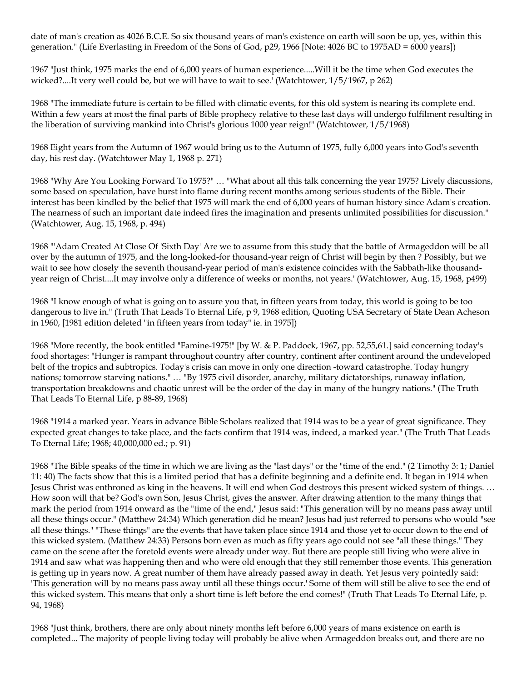date of man's creation as 4026 B.C.E. So six thousand years of man's existence on earth will soon be up, yes, within this generation." (Life Everlasting in Freedom of the Sons of God, p29, 1966 [Note: 4026 BC to 1975AD = 6000 years])

1967 "Just think, 1975 marks the end of 6,000 years of human experience.....Will it be the time when God executes the wicked?....It very well could be, but we will have to wait to see.' (Watchtower, 1/5/1967, p 262)

1968 "The immediate future is certain to be filled with climatic events, for this old system is nearing its complete end. Within a few years at most the final parts of Bible prophecy relative to these last days will undergo fulfilment resulting in the liberation of surviving mankind into Christ's glorious 1000 year reign!" (Watchtower, 1/5/1968)

1968 Eight years from the Autumn of 1967 would bring us to the Autumn of 1975, fully 6,000 years into God's seventh day, his rest day. (Watchtower May 1, 1968 p. 271)

1968 "Why Are You Looking Forward To 1975?" … "What about all this talk concerning the year 1975? Lively discussions, some based on speculation, have burst into flame during recent months among serious students of the Bible. Their interest has been kindled by the belief that 1975 will mark the end of 6,000 years of human history since Adam's creation. The nearness of such an important date indeed fires the imagination and presents unlimited possibilities for discussion." (Watchtower, Aug. 15, 1968, p. 494)

1968 "'Adam Created At Close Of 'Sixth Day' Are we to assume from this study that the battle of Armageddon will be all over by the autumn of 1975, and the long-looked-for thousand-year reign of Christ will begin by then ? Possibly, but we wait to see how closely the seventh thousand-year period of man's existence coincides with the Sabbath-like thousandyear reign of Christ....It may involve only a difference of weeks or months, not years.' (Watchtower, Aug. 15, 1968, p499)

1968 "I know enough of what is going on to assure you that, in fifteen years from today, this world is going to be too dangerous to live in." (Truth That Leads To Eternal Life, p 9, 1968 edition, Quoting USA Secretary of State Dean Acheson in 1960, [1981 edition deleted "in fifteen years from today" ie. in 1975])

1968 "More recently, the book entitled "Famine-1975!" [by W. & P. Paddock, 1967, pp. 52,55,61.] said concerning today's food shortages: "Hunger is rampant throughout country after country, continent after continent around the undeveloped belt of the tropics and subtropics. Today's crisis can move in only one direction -toward catastrophe. Today hungry nations; tomorrow starving nations." … "By 1975 civil disorder, anarchy, military dictatorships, runaway inflation, transportation breakdowns and chaotic unrest will be the order of the day in many of the hungry nations." (The Truth That Leads To Eternal Life, p 88-89, 1968)

1968 "1914 a marked year. Years in advance Bible Scholars realized that 1914 was to be a year of great significance. They expected great changes to take place, and the facts confirm that 1914 was, indeed, a marked year." (The Truth That Leads To Eternal Life; 1968; 40,000,000 ed.; p. 91)

1968 "The Bible speaks of the time in which we are living as the "last days" or the "time of the end." (2 Timothy 3: 1; Daniel 11: 40) The facts show that this is a limited period that has a definite beginning and a definite end. It began in 1914 when Jesus Christ was enthroned as king in the heavens. It will end when God destroys this present wicked system of things. … How soon will that be? God's own Son, Jesus Christ, gives the answer. After drawing attention to the many things that mark the period from 1914 onward as the "time of the end," Jesus said: "This generation will by no means pass away until all these things occur." (Matthew 24:34) Which generation did he mean? Jesus had just referred to persons who would "see all these things." "These things" are the events that have taken place since 1914 and those yet to occur down to the end of this wicked system. (Matthew 24:33) Persons born even as much as fifty years ago could not see "all these things." They came on the scene after the foretold events were already under way. But there are people still living who were alive in 1914 and saw what was happening then and who were old enough that they still remember those events. This generation is getting up in years now. A great number of them have already passed away in death. Yet Jesus very pointedly said: 'This generation will by no means pass away until all these things occur.' Some of them will still be alive to see the end of this wicked system. This means that only a short time is left before the end comes!" (Truth That Leads To Eternal Life, p. 94, 1968)

1968 "Just think, brothers, there are only about ninety months left before 6,000 years of mans existence on earth is completed... The majority of people living today will probably be alive when Armageddon breaks out, and there are no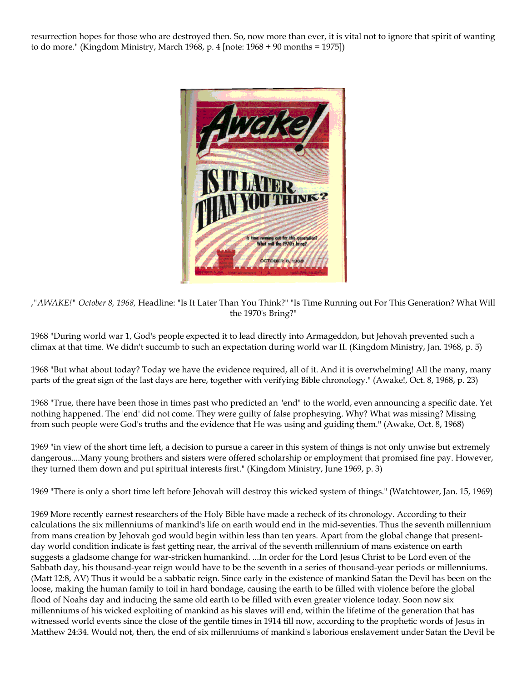resurrection hopes for those who are destroyed then. So, now more than ever, it is vital not to ignore that spirit of wanting to do more." (Kingdom Ministry, March 1968, p. 4 [note: 1968 + 90 months = 1975])



,*"AWAKE!" October 8, 1968,* Headline: "Is It Later Than You Think?" "Is Time Running out For This Generation? What Will the 1970's Bring?"

1968 "During world war 1, God's people expected it to lead directly into Armageddon, but Jehovah prevented such a climax at that time. We didn't succumb to such an expectation during world war II. (Kingdom Ministry, Jan. 1968, p. 5)

1968 "But what about today? Today we have the evidence required, all of it. And it is overwhelming! All the many, many parts of the great sign of the last days are here, together with verifying Bible chronology." (Awake!, Oct. 8, 1968, p. 23)

1968 "True, there have been those in times past who predicted an "end" to the world, even announcing a specific date. Yet nothing happened. The 'end' did not come. They were guilty of false prophesying. Why? What was missing? Missing from such people were God's truths and the evidence that He was using and guiding them.'' (Awake, Oct. 8, 1968)

1969 "in view of the short time left, a decision to pursue a career in this system of things is not only unwise but extremely dangerous....Many young brothers and sisters were offered scholarship or employment that promised fine pay. However, they turned them down and put spiritual interests first." (Kingdom Ministry, June 1969, p. 3)

1969 "There is only a short time left before Jehovah will destroy this wicked system of things." (Watchtower, Jan. 15, 1969)

1969 More recently earnest researchers of the Holy Bible have made a recheck of its chronology. According to their calculations the six millenniums of mankind's life on earth would end in the mid-seventies. Thus the seventh millennium from mans creation by Jehovah god would begin within less than ten years. Apart from the global change that presentday world condition indicate is fast getting near, the arrival of the seventh millennium of mans existence on earth suggests a gladsome change for war-stricken humankind. ...In order for the Lord Jesus Christ to be Lord even of the Sabbath day, his thousand-year reign would have to be the seventh in a series of thousand-year periods or millenniums. (Matt 12:8, AV) Thus it would be a sabbatic reign. Since early in the existence of mankind Satan the Devil has been on the loose, making the human family to toil in hard bondage, causing the earth to be filled with violence before the global flood of Noahs day and inducing the same old earth to be filled with even greater violence today. Soon now six millenniums of his wicked exploiting of mankind as his slaves will end, within the lifetime of the generation that has witnessed world events since the close of the gentile times in 1914 till now, according to the prophetic words of Jesus in Matthew 24:34. Would not, then, the end of six millenniums of mankind's laborious enslavement under Satan the Devil be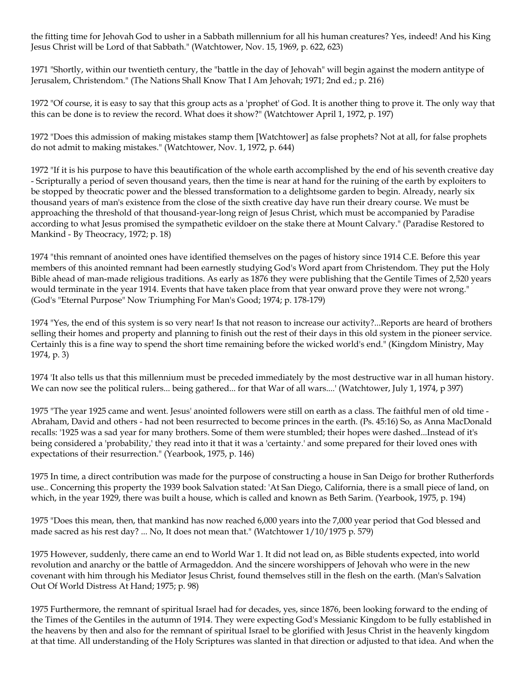the fitting time for Jehovah God to usher in a Sabbath millennium for all his human creatures? Yes, indeed! And his King Jesus Christ will be Lord of that Sabbath." (Watchtower, Nov. 15, 1969, p. 622, 623)

1971 "Shortly, within our twentieth century, the "battle in the day of Jehovah" will begin against the modern antitype of Jerusalem, Christendom." (The Nations Shall Know That I Am Jehovah; 1971; 2nd ed.; p. 216)

1972 "Of course, it is easy to say that this group acts as a 'prophet' of God. It is another thing to prove it. The only way that this can be done is to review the record. What does it show?" (Watchtower April 1, 1972, p. 197)

1972 "Does this admission of making mistakes stamp them [Watchtower] as false prophets? Not at all, for false prophets do not admit to making mistakes." (Watchtower, Nov. 1, 1972, p. 644)

1972 "If it is his purpose to have this beautification of the whole earth accomplished by the end of his seventh creative day - Scripturally a period of seven thousand years, then the time is near at hand for the ruining of the earth by exploiters to be stopped by theocratic power and the blessed transformation to a delightsome garden to begin. Already, nearly six thousand years of man's existence from the close of the sixth creative day have run their dreary course. We must be approaching the threshold of that thousand-year-long reign of Jesus Christ, which must be accompanied by Paradise according to what Jesus promised the sympathetic evildoer on the stake there at Mount Calvary." (Paradise Restored to Mankind - By Theocracy, 1972; p. 18)

1974 "this remnant of anointed ones have identified themselves on the pages of history since 1914 C.E. Before this year members of this anointed remnant had been earnestly studying God's Word apart from Christendom. They put the Holy Bible ahead of man-made religious traditions. As early as 1876 they were publishing that the Gentile Times of 2,520 years would terminate in the year 1914. Events that have taken place from that year onward prove they were not wrong." (God's "Eternal Purpose" Now Triumphing For Man's Good; 1974; p. 178-179)

1974 "Yes, the end of this system is so very near! Is that not reason to increase our activity?...Reports are heard of brothers selling their homes and property and planning to finish out the rest of their days in this old system in the pioneer service. Certainly this is a fine way to spend the short time remaining before the wicked world's end." (Kingdom Ministry, May 1974, p. 3)

1974 'It also tells us that this millennium must be preceded immediately by the most destructive war in all human history. We can now see the political rulers... being gathered... for that War of all wars....' (Watchtower, July 1, 1974, p 397)

1975 "The year 1925 came and went. Jesus' anointed followers were still on earth as a class. The faithful men of old time - Abraham, David and others - had not been resurrected to become princes in the earth. (Ps. 45:16) So, as Anna MacDonald recalls: '1925 was a sad year for many brothers. Some of them were stumbled; their hopes were dashed...Instead of it's being considered a 'probability,' they read into it that it was a 'certainty.' and some prepared for their loved ones with expectations of their resurrection." (Yearbook, 1975, p. 146)

1975 In time, a direct contribution was made for the purpose of constructing a house in San Deigo for brother Rutherfords use.. Concerning this property the 1939 book Salvation stated: 'At San Diego, California, there is a small piece of land, on which, in the year 1929, there was built a house, which is called and known as Beth Sarim. (Yearbook, 1975, p. 194)

1975 "Does this mean, then, that mankind has now reached 6,000 years into the 7,000 year period that God blessed and made sacred as his rest day? ... No, It does not mean that." (Watchtower 1/10/1975 p. 579)

1975 However, suddenly, there came an end to World War 1. It did not lead on, as Bible students expected, into world revolution and anarchy or the battle of Armageddon. And the sincere worshippers of Jehovah who were in the new covenant with him through his Mediator Jesus Christ, found themselves still in the flesh on the earth. (Man's Salvation Out Of World Distress At Hand; 1975; p. 98)

1975 Furthermore, the remnant of spiritual Israel had for decades, yes, since 1876, been looking forward to the ending of the Times of the Gentiles in the autumn of 1914. They were expecting God's Messianic Kingdom to be fully established in the heavens by then and also for the remnant of spiritual Israel to be glorified with Jesus Christ in the heavenly kingdom at that time. All understanding of the Holy Scriptures was slanted in that direction or adjusted to that idea. And when the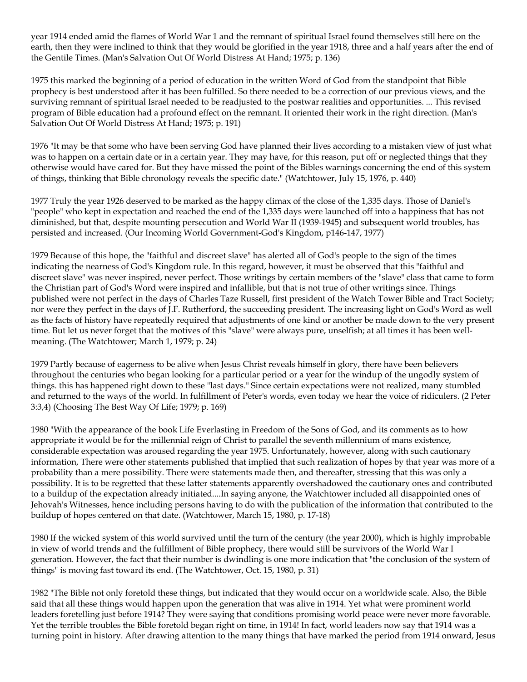year 1914 ended amid the flames of World War 1 and the remnant of spiritual Israel found themselves still here on the earth, then they were inclined to think that they would be glorified in the year 1918, three and a half years after the end of the Gentile Times. (Man's Salvation Out Of World Distress At Hand; 1975; p. 136)

1975 this marked the beginning of a period of education in the written Word of God from the standpoint that Bible prophecy is best understood after it has been fulfilled. So there needed to be a correction of our previous views, and the surviving remnant of spiritual Israel needed to be readjusted to the postwar realities and opportunities. ... This revised program of Bible education had a profound effect on the remnant. It oriented their work in the right direction. (Man's Salvation Out Of World Distress At Hand; 1975; p. 191)

1976 "It may be that some who have been serving God have planned their lives according to a mistaken view of just what was to happen on a certain date or in a certain year. They may have, for this reason, put off or neglected things that they otherwise would have cared for. But they have missed the point of the Bibles warnings concerning the end of this system of things, thinking that Bible chronology reveals the specific date." (Watchtower, July 15, 1976, p. 440)

1977 Truly the year 1926 deserved to be marked as the happy climax of the close of the 1,335 days. Those of Daniel's "people" who kept in expectation and reached the end of the 1,335 days were launched off into a happiness that has not diminished, but that, despite mounting persecution and World War II (1939-1945) and subsequent world troubles, has persisted and increased. (Our Incoming World Government-God's Kingdom, p146-147, 1977)

1979 Because of this hope, the "faithful and discreet slave" has alerted all of God's people to the sign of the times indicating the nearness of God's Kingdom rule. In this regard, however, it must be observed that this "faithful and discreet slave" was never inspired, never perfect. Those writings by certain members of the "slave" class that came to form the Christian part of God's Word were inspired and infallible, but that is not true of other writings since. Things published were not perfect in the days of Charles Taze Russell, first president of the Watch Tower Bible and Tract Society; nor were they perfect in the days of J.F. Rutherford, the succeeding president. The increasing light on God's Word as well as the facts of history have repeatedly required that adjustments of one kind or another be made down to the very present time. But let us never forget that the motives of this "slave" were always pure, unselfish; at all times it has been wellmeaning. (The Watchtower; March 1, 1979; p. 24)

1979 Partly because of eagerness to be alive when Jesus Christ reveals himself in glory, there have been believers throughout the centuries who began looking for a particular period or a year for the windup of the ungodly system of things. this has happened right down to these "last days." Since certain expectations were not realized, many stumbled and returned to the ways of the world. In fulfillment of Peter's words, even today we hear the voice of ridiculers. (2 Peter 3:3,4) (Choosing The Best Way Of Life; 1979; p. 169)

1980 "With the appearance of the book Life Everlasting in Freedom of the Sons of God, and its comments as to how appropriate it would be for the millennial reign of Christ to parallel the seventh millennium of mans existence, considerable expectation was aroused regarding the year 1975. Unfortunately, however, along with such cautionary information, There were other statements published that implied that such realization of hopes by that year was more of a probability than a mere possibility. There were statements made then, and thereafter, stressing that this was only a possibility. It is to be regretted that these latter statements apparently overshadowed the cautionary ones and contributed to a buildup of the expectation already initiated....In saying anyone, the Watchtower included all disappointed ones of Jehovah's Witnesses, hence including persons having to do with the publication of the information that contributed to the buildup of hopes centered on that date. (Watchtower, March 15, 1980, p. 17-18)

1980 If the wicked system of this world survived until the turn of the century (the year 2000), which is highly improbable in view of world trends and the fulfillment of Bible prophecy, there would still be survivors of the World War I generation. However, the fact that their number is dwindling is one more indication that "the conclusion of the system of things" is moving fast toward its end. (The Watchtower, Oct. 15, 1980, p. 31)

1982 "The Bible not only foretold these things, but indicated that they would occur on a worldwide scale. Also, the Bible said that all these things would happen upon the generation that was alive in 1914. Yet what were prominent world leaders foretelling just before 1914? They were saying that conditions promising world peace were never more favorable. Yet the terrible troubles the Bible foretold began right on time, in 1914! In fact, world leaders now say that 1914 was a turning point in history. After drawing attention to the many things that have marked the period from 1914 onward, Jesus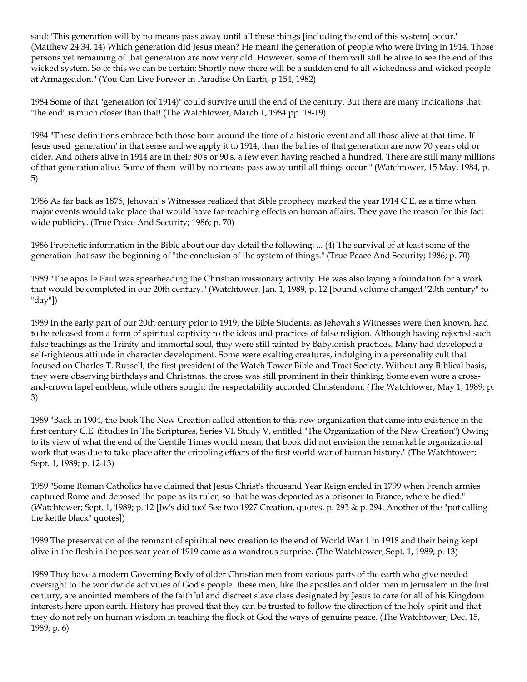said: 'This generation will by no means pass away until all these things [including the end of this system] occur.' (Matthew 24:34, 14) Which generation did Jesus mean? He meant the generation of people who were living in 1914. Those persons yet remaining of that generation are now very old. However, some of them will still be alive to see the end of this wicked system. So of this we can be certain: Shortly now there will be a sudden end to all wickedness and wicked people at Armageddon." (You Can Live Forever In Paradise On Earth, p 154, 1982)

1984 Some of that "generation (of 1914)" could survive until the end of the century. But there are many indications that "the end" is much closer than that! (The Watchtower, March 1, 1984 pp. 18-19)

1984 "These definitions embrace both those born around the time of a historic event and all those alive at that time. If Jesus used 'generation' in that sense and we apply it to 1914, then the babies of that generation are now 70 years old or older. And others alive in 1914 are in their 80's or 90's, a few even having reached a hundred. There are still many millions of that generation alive. Some of them 'will by no means pass away until all things occur." (Watchtower, 15 May, 1984, p. 5)

1986 As far back as 1876, Jehovah' s Witnesses realized that Bible prophecy marked the year 1914 C.E. as a time when major events would take place that would have far-reaching effects on human affairs. They gave the reason for this fact wide publicity. (True Peace And Security; 1986; p. 70)

1986 Prophetic information in the Bible about our day detail the following: ... (4) The survival of at least some of the generation that saw the beginning of "the conclusion of the system of things." (True Peace And Security; 1986; p. 70)

1989 "The apostle Paul was spearheading the Christian missionary activity. He was also laying a foundation for a work that would be completed in our 20th century." (Watchtower, Jan. 1, 1989, p. 12 [bound volume changed "20th century" to "day"])

1989 In the early part of our 20th century prior to 1919, the Bible Students, as Jehovah's Witnesses were then known, had to be released from a form of spiritual captivity to the ideas and practices of false religion. Although having rejected such false teachings as the Trinity and immortal soul, they were still tainted by Babylonish practices. Many had developed a self-righteous attitude in character development. Some were exalting creatures, indulging in a personality cult that focused on Charles T. Russell, the first president of the Watch Tower Bible and Tract Society. Without any Biblical basis, they were observing birthdays and Christmas. the cross was still prominent in their thinking. Some even wore a crossand-crown lapel emblem, while others sought the respectability accorded Christendom. (The Watchtower; May 1, 1989; p. 3)

1989 "Back in 1904, the book The New Creation called attention to this new organization that came into existence in the first century C.E. (Studies In The Scriptures, Series VI, Study V, entitled "The Organization of the New Creation") Owing to its view of what the end of the Gentile Times would mean, that book did not envision the remarkable organizational work that was due to take place after the crippling effects of the first world war of human history." (The Watchtower; Sept. 1, 1989; p. 12-13)

1989 "Some Roman Catholics have claimed that Jesus Christ's thousand Year Reign ended in 1799 when French armies captured Rome and deposed the pope as its ruler, so that he was deported as a prisoner to France, where he died." (Watchtower; Sept. 1, 1989; p. 12 [Jw's did too! See two 1927 Creation, quotes, p. 293 & p. 294. Another of the "pot calling the kettle black" quotes])

1989 The preservation of the remnant of spiritual new creation to the end of World War 1 in 1918 and their being kept alive in the flesh in the postwar year of 1919 came as a wondrous surprise. (The Watchtower; Sept. 1, 1989; p. 13)

1989 They have a modern Governing Body of older Christian men from various parts of the earth who give needed oversight to the worldwide activities of God's people. these men, like the apostles and older men in Jerusalem in the first century, are anointed members of the faithful and discreet slave class designated by Jesus to care for all of his Kingdom interests here upon earth. History has proved that they can be trusted to follow the direction of the holy spirit and that they do not rely on human wisdom in teaching the flock of God the ways of genuine peace. (The Watchtower; Dec. 15, 1989; p. 6)